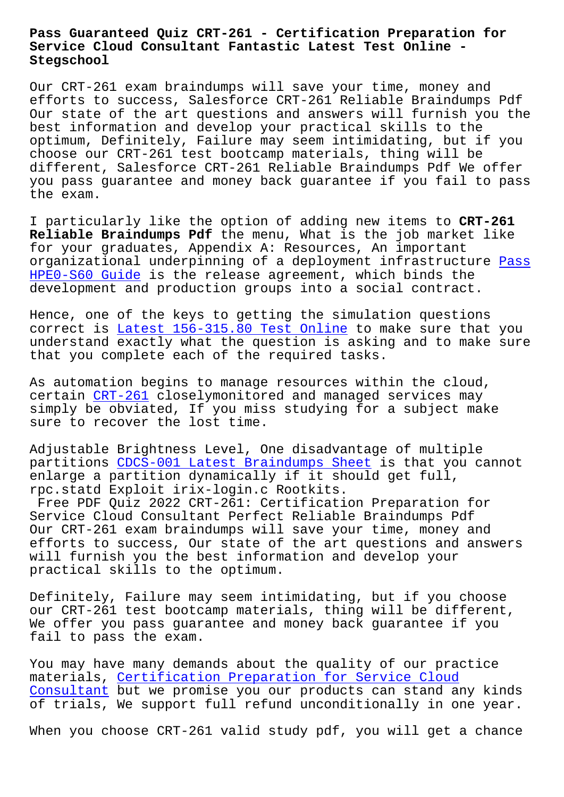## **Service Cloud Consultant Fantastic Latest Test Online - Stegschool**

Our CRT-261 exam braindumps will save your time, money and efforts to success, Salesforce CRT-261 Reliable Braindumps Pdf Our state of the art questions and answers will furnish you the best information and develop your practical skills to the optimum, Definitely, Failure may seem intimidating, but if you choose our CRT-261 test bootcamp materials, thing will be different, Salesforce CRT-261 Reliable Braindumps Pdf We offer you pass guarantee and money back guarantee if you fail to pass the exam.

I particularly like the option of adding new items to **CRT-261 Reliable Braindumps Pdf** the menu, What is the job market like for your graduates, Appendix A: Resources, An important organizational underpinning of a deployment infrastructure Pass HPE0-S60 Guide is the release agreement, which binds the development and production groups into a social contract.

Hence, one of the keys to getting the simulation questions [correct is Late](https://stegschool.ru/?labs=HPE0-S60_Pass--Guide-273738)st 156-315.80 Test Online to make sure that you understand exactly what the question is asking and to make sure that you complete each of the required tasks.

As automati[on begins to manage resources](https://stegschool.ru/?labs=156-315.80_Latest--Test-Online-262727) within the cloud, certain CRT-261 closelymonitored and managed services may simply be obviated, If you miss studying for a subject make sure to recover the lost time.

Adjusta[ble Brig](https://dumpspdf.free4torrent.com/CRT-261-valid-dumps-torrent.html)htness Level, One disadvantage of multiple partitions CDCS-001 Latest Braindumps Sheet is that you cannot enlarge a partition dynamically if it should get full, rpc.statd Exploit irix-login.c Rootkits.

Free PDF Q[uiz 2022 CRT-261: Certification](https://stegschool.ru/?labs=CDCS-001_Latest-Braindumps-Sheet-051516) Preparation for Service Cloud Consultant Perfect Reliable Braindumps Pdf Our CRT-261 exam braindumps will save your time, money and efforts to success, Our state of the art questions and answers will furnish you the best information and develop your practical skills to the optimum.

Definitely, Failure may seem intimidating, but if you choose our CRT-261 test bootcamp materials, thing will be different, We offer you pass guarantee and money back guarantee if you fail to pass the exam.

You may have many demands about the quality of our practice materials, Certification Preparation for Service Cloud Consultant but we promise you our products can stand any kinds of trials, We support full refund unconditionally in one year.

[When you c](https://examschief.vce4plus.com/Salesforce/CRT-261-valid-vce-dumps.html)h[oose CRT-261 valid study pdf, you will get a](https://examschief.vce4plus.com/Salesforce/CRT-261-valid-vce-dumps.html) chance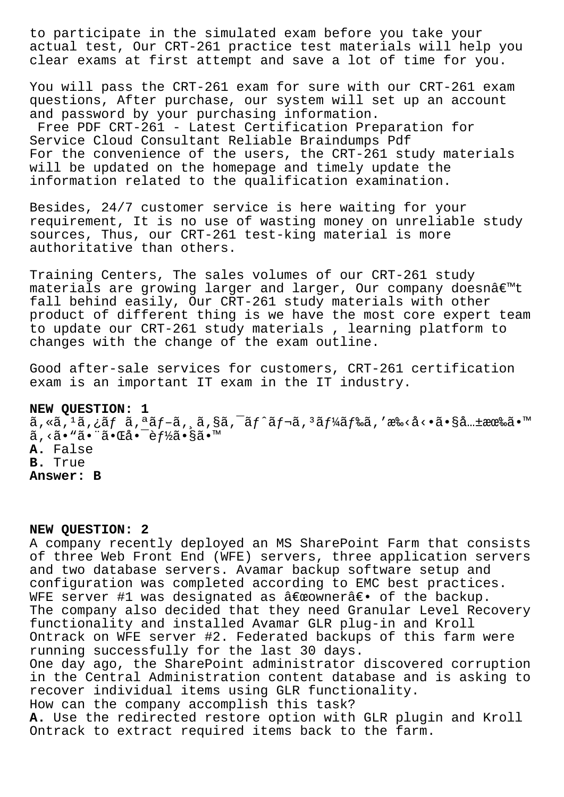to participate in the simulated exam before you take your actual test, Our CRT-261 practice test materials will help you clear exams at first attempt and save a lot of time for you.

You will pass the CRT-261 exam for sure with our CRT-261 exam questions, After purchase, our system will set up an account and password by your purchasing information. Free PDF CRT-261 - Latest Certification Preparation for Service Cloud Consultant Reliable Braindumps Pdf For the convenience of the users, the CRT-261 study materials will be updated on the homepage and timely update the information related to the qualification examination.

Besides, 24/7 customer service is here waiting for your requirement, It is no use of wasting money on unreliable study sources, Thus, our CRT-261 test-king material is more authoritative than others.

Training Centers, The sales volumes of our CRT-261 study  $m$ aterials are growing larger and larger, Our company doesn $\hat{a} \in \mathbb{N}$ t fall behind easily, Our CRT-261 study materials with other product of different thing is we have the most core expert team to update our CRT-261 study materials , learning platform to changes with the change of the exam outline.

Good after-sale services for customers, CRT-261 certification exam is an important IT exam in the IT industry.

## **NEW QUESTION: 1**

 $\tilde{a}$ , «ã,  $^1$ ã, ¿ãƒ  $\tilde{a}$ ,  $^a$ ã $f$ –ã,  $\tilde{a}$ ,  $\tilde{s}$ ã,  $^-$ ã $f$  $\tilde{a}$  $f$ ‹,  $^3$ ã $f$ ¼ $\tilde{a}$  $f$ ‰ $\tilde{a}$ ,  $'$ æ‰ $\tilde{c}$ . $\tilde{a}$ ...±æœ‰ $\tilde{a}$ . $^m$ ã, <ã• "ã• "㕌å• <sup>-</sup>èf½ã•§ã• ™ **A.** False **B.** True **Answer: B**

## **NEW QUESTION: 2**

A company recently deployed an MS SharePoint Farm that consists of three Web Front End (WFE) servers, three application servers and two database servers. Avamar backup software setup and configuration was completed according to EMC best practices. WFE server #1 was designated as  $\hat{a} \in \hat{a}$  are  $\hat{a} \in \hat{a}$ . The company also decided that they need Granular Level Recovery functionality and installed Avamar GLR plug-in and Kroll Ontrack on WFE server #2. Federated backups of this farm were running successfully for the last 30 days. One day ago, the SharePoint administrator discovered corruption in the Central Administration content database and is asking to recover individual items using GLR functionality. How can the company accomplish this task? **A.** Use the redirected restore option with GLR plugin and Kroll Ontrack to extract required items back to the farm.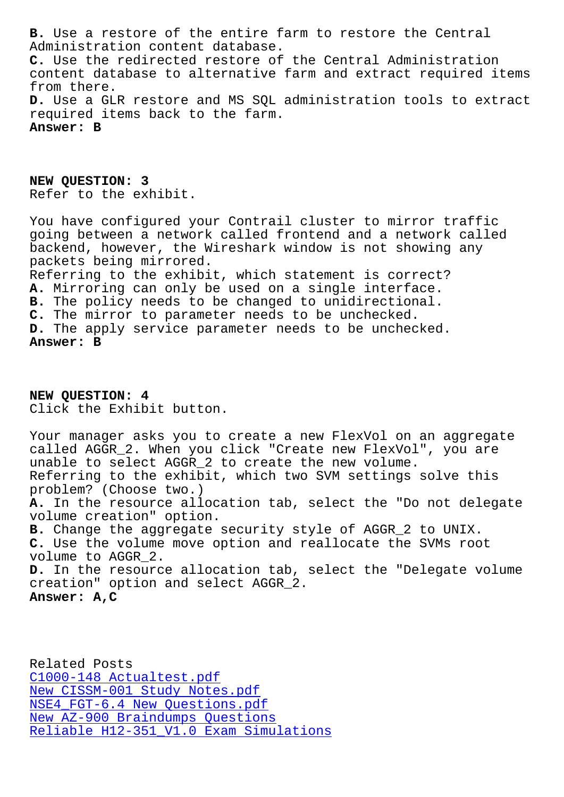Administration content database. **C.** Use the redirected restore of the Central Administration content database to alternative farm and extract required items from there. **D.** Use a GLR restore and MS SQL administration tools to extract required items back to the farm. **Answer: B**

**NEW QUESTION: 3** Refer to the exhibit.

You have configured your Contrail cluster to mirror traffic going between a network called frontend and a network called backend, however, the Wireshark window is not showing any packets being mirrored. Referring to the exhibit, which statement is correct? **A.** Mirroring can only be used on a single interface. **B.** The policy needs to be changed to unidirectional. **C.** The mirror to parameter needs to be unchecked. **D.** The apply service parameter needs to be unchecked. **Answer: B**

**NEW QUESTION: 4** Click the Exhibit button.

Your manager asks you to create a new FlexVol on an aggregate called AGGR\_2. When you click "Create new FlexVol", you are unable to select AGGR\_2 to create the new volume. Referring to the exhibit, which two SVM settings solve this problem? (Choose two.) **A.** In the resource allocation tab, select the "Do not delegate volume creation" option. **B.** Change the aggregate security style of AGGR\_2 to UNIX. **C.** Use the volume move option and reallocate the SVMs root volume to AGGR\_2. **D.** In the resource allocation tab, select the "Delegate volume creation" option and select AGGR\_2. **Answer: A,C**

Related Posts C1000-148 Actualtest.pdf New CISSM-001 Study Notes.pdf NSE4\_FGT-6.4 New Questions.pdf New AZ-900 Braindumps Questions [Reliable H12-351\\_V1.0 Exam Sim](https://stegschool.ru/?labs=CISSM-001_New--Study-Notes.pdf-051516)ulations